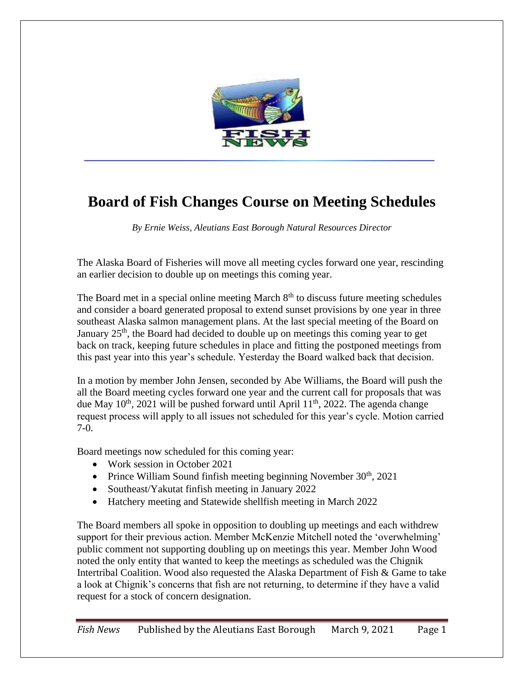

## **Board of Fish Changes Course on Meeting Schedules**

*By Ernie Weiss, Aleutians East Borough Natural Resources Director*

The Alaska Board of Fisheries will move all meeting cycles forward one year, rescinding an earlier decision to double up on meetings this coming year.

The Board met in a special online meeting March  $8<sup>th</sup>$  to discuss future meeting schedules and consider a board generated proposal to extend sunset provisions by one year in three southeast Alaska salmon management plans. At the last special meeting of the Board on January 25<sup>th</sup>, the Board had decided to double up on meetings this coming year to get back on track, keeping future schedules in place and fitting the postponed meetings from this past year into this year's schedule. Yesterday the Board walked back that decision.

In a motion by member John Jensen, seconded by Abe Williams, the Board will push the all the Board meeting cycles forward one year and the current call for proposals that was due May  $10^{th}$ , 2021 will be pushed forward until April  $11^{th}$ , 2022. The agenda change request process will apply to all issues not scheduled for this year's cycle. Motion carried 7-0.

Board meetings now scheduled for this coming year:

- Work session in October 2021
- Prince William Sound finfish meeting beginning November  $30<sup>th</sup>$ , 2021
- Southeast/Yakutat finfish meeting in January 2022
- Hatchery meeting and Statewide shellfish meeting in March 2022

The Board members all spoke in opposition to doubling up meetings and each withdrew support for their previous action. Member McKenzie Mitchell noted the 'overwhelming' public comment not supporting doubling up on meetings this year. Member John Wood noted the only entity that wanted to keep the meetings as scheduled was the Chignik Intertribal Coalition. Wood also requested the Alaska Department of Fish & Game to take a look at Chignik's concerns that fish are not returning, to determine if they have a valid request for a stock of concern designation.